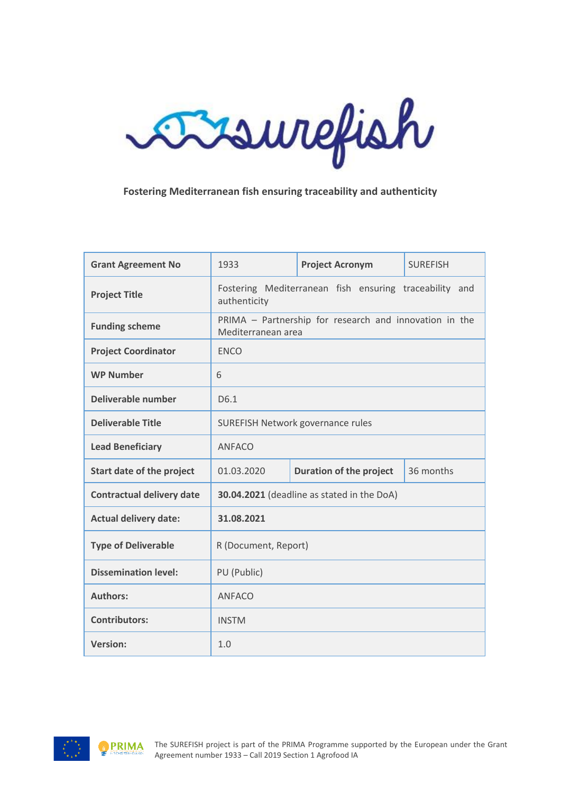

## **Fostering Mediterranean fish ensuring traceability and authenticity**

| <b>Grant Agreement No</b>        | 1933                                                                         | <b>Project Acronym</b>         | <b>SURFFISH</b> |
|----------------------------------|------------------------------------------------------------------------------|--------------------------------|-----------------|
| <b>Project Title</b>             | Fostering Mediterranean fish ensuring traceability and<br>authenticity       |                                |                 |
| <b>Funding scheme</b>            | PRIMA - Partnership for research and innovation in the<br>Mediterranean area |                                |                 |
| <b>Project Coordinator</b>       | <b>ENCO</b>                                                                  |                                |                 |
| <b>WP Number</b>                 | 6                                                                            |                                |                 |
| Deliverable number               | D <sub>6.1</sub>                                                             |                                |                 |
| <b>Deliverable Title</b>         | <b>SUREFISH Network governance rules</b>                                     |                                |                 |
| <b>Lead Beneficiary</b>          | <b>ANFACO</b>                                                                |                                |                 |
| Start date of the project        | 01.03.2020                                                                   | <b>Duration of the project</b> | 36 months       |
| <b>Contractual delivery date</b> | 30.04.2021 (deadline as stated in the DoA)                                   |                                |                 |
| <b>Actual delivery date:</b>     | 31.08.2021                                                                   |                                |                 |
| <b>Type of Deliverable</b>       | R (Document, Report)                                                         |                                |                 |
| <b>Dissemination level:</b>      | PU (Public)                                                                  |                                |                 |
| <b>Authors:</b>                  | <b>ANFACO</b>                                                                |                                |                 |
| <b>Contributors:</b>             | <b>INSTM</b>                                                                 |                                |                 |
| <b>Version:</b>                  | 1.0                                                                          |                                |                 |

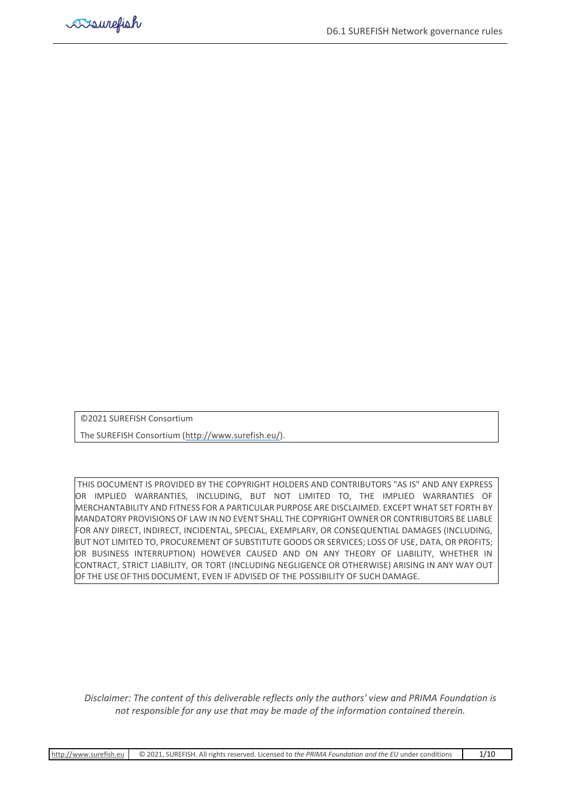©2021 SUREFISH Consortium

The SUREFISH Consortium [\(http://www.surefish.eu/\)](http://www.surefish.eu/).

THIS DOCUMENT IS PROVIDED BY THE COPYRIGHT HOLDERS AND CONTRIBUTORS "AS IS" AND ANY EXPRESS OR IMPLIED WARRANTIES, INCLUDING, BUT NOT LIMITED TO, THE IMPLIED WARRANTIES OF MERCHANTABILITY AND FITNESS FOR A PARTICULAR PURPOSE ARE DISCLAIMED. EXCEPT WHAT SET FORTH BY MANDATORY PROVISIONS OF LAW IN NO EVENT SHALL THE COPYRIGHT OWNER OR CONTRIBUTORS BE LIABLE FOR ANY DIRECT, INDIRECT, INCIDENTAL, SPECIAL, EXEMPLARY, OR CONSEQUENTIAL DAMAGES (INCLUDING, BUT NOT LIMITED TO, PROCUREMENT OF SUBSTITUTE GOODS OR SERVICES; LOSS OF USE, DATA, OR PROFITS; OR BUSINESS INTERRUPTION) HOWEVER CAUSED AND ON ANY THEORY OF LIABILITY, WHETHER IN CONTRACT, STRICT LIABILITY, OR TORT (INCLUDING NEGLIGENCE OR OTHERWISE) ARISING IN ANY WAY OUT OF THE USE OF THIS DOCUMENT, EVEN IF ADVISED OF THE POSSIBILITY OF SUCH DAMAGE.

*Disclaimer: The content of this deliverable reflects only the authors' view and PRIMA Foundation is not responsible for any use that may be made of the information contained therein.*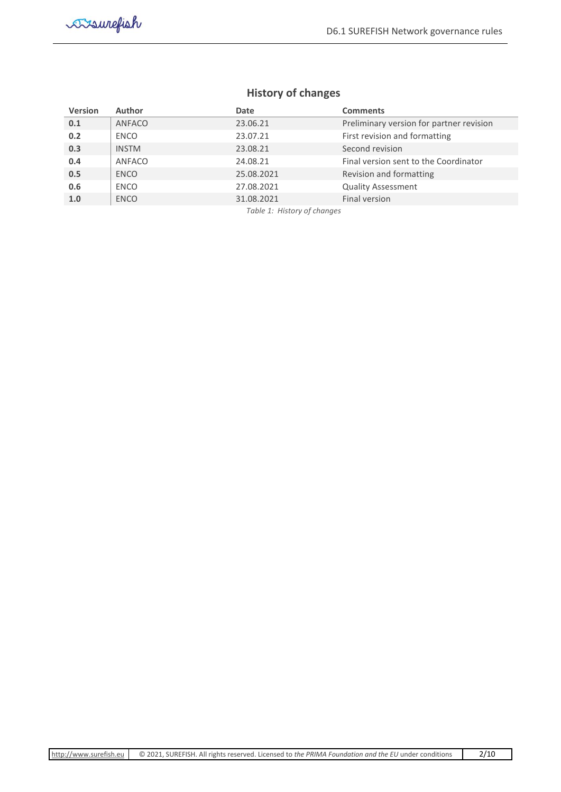# **History of changes**

<span id="page-2-0"></span>

| <b>Version</b> | <b>Author</b> | Date                        | <b>Comments</b>                          |
|----------------|---------------|-----------------------------|------------------------------------------|
| 0.1            | ANFACO        | 23.06.21                    | Preliminary version for partner revision |
| 0.2            | <b>ENCO</b>   | 23.07.21                    | First revision and formatting            |
| 0.3            | <b>INSTM</b>  | 23.08.21                    | Second revision                          |
| 0.4            | ANFACO        | 24.08.21                    | Final version sent to the Coordinator    |
| 0.5            | <b>ENCO</b>   | 25.08.2021                  | Revision and formatting                  |
| 0.6            | <b>ENCO</b>   | 27.08.2021                  | <b>Quality Assessment</b>                |
| 1.0            | <b>ENCO</b>   | 31.08.2021                  | Final version                            |
|                |               | Table 1: History of changes |                                          |

*Table 1: History of changes*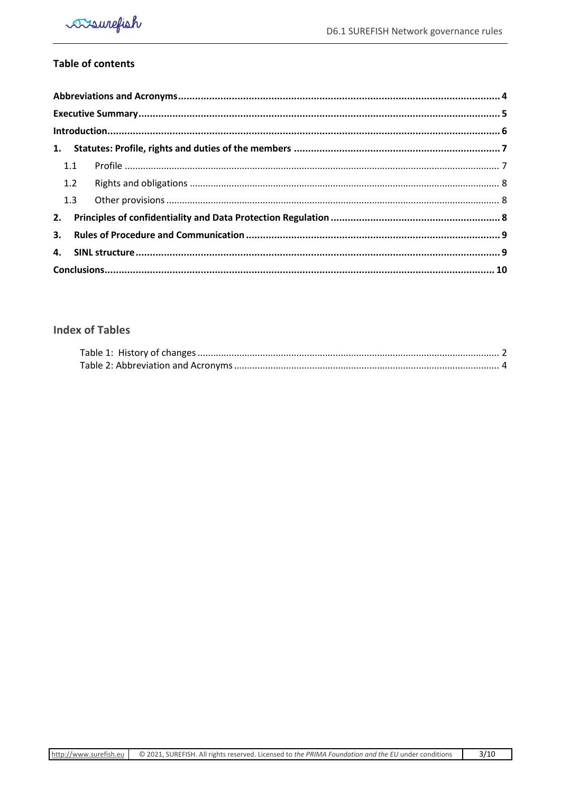# **Table of contents**

| 1.1 |  |  |
|-----|--|--|
| 1.2 |  |  |
| 1.3 |  |  |
| 2.  |  |  |
| 3.  |  |  |
|     |  |  |
|     |  |  |

# **Index of Tables**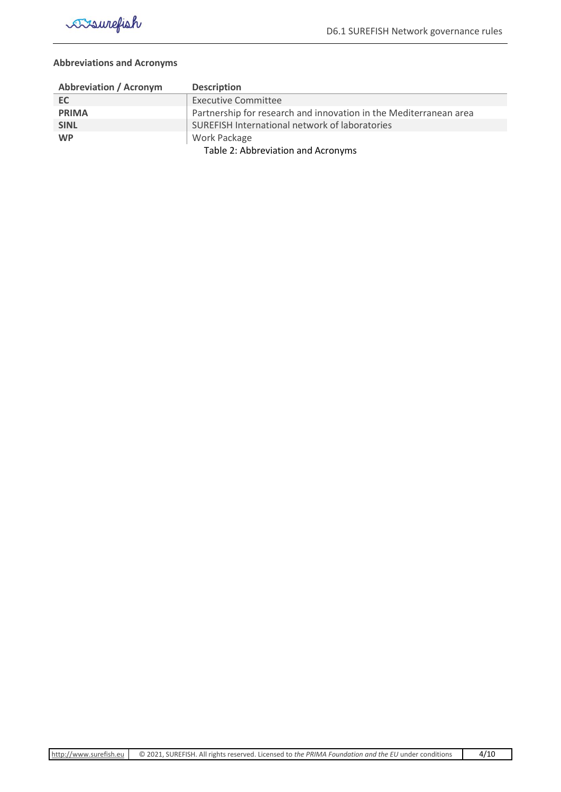

#### <span id="page-4-0"></span>**Abbreviations and Acronyms**

<span id="page-4-1"></span>

| <b>Abbreviation / Acronym</b>      | <b>Description</b>                                                |  |
|------------------------------------|-------------------------------------------------------------------|--|
| EC.                                | <b>Executive Committee</b>                                        |  |
| <b>PRIMA</b>                       | Partnership for research and innovation in the Mediterranean area |  |
| <b>SINL</b>                        | SUREFISH International network of laboratories                    |  |
| <b>WP</b>                          | Work Package                                                      |  |
| Table 2: Abbreviation and Acronyms |                                                                   |  |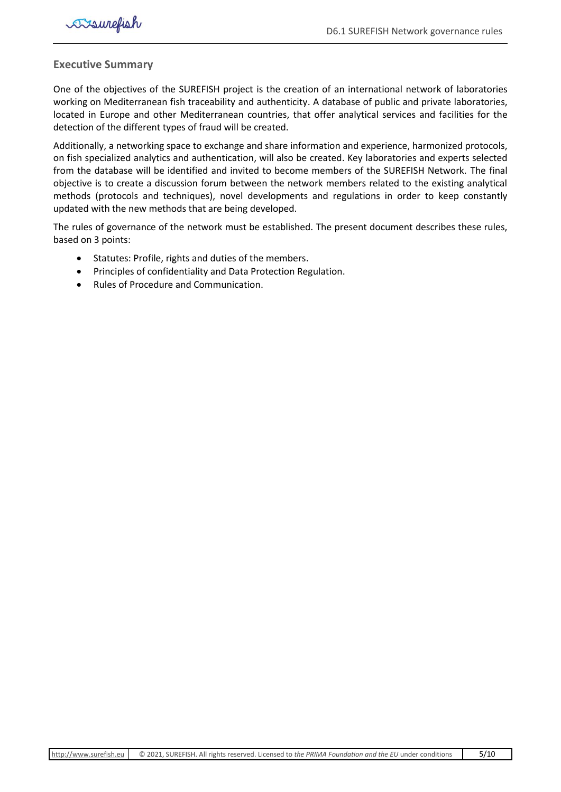#### <span id="page-5-0"></span>**Executive Summary**

One of the objectives of the SUREFISH project is the creation of an international network of laboratories working on Mediterranean fish traceability and authenticity. A database of public and private laboratories, located in Europe and other Mediterranean countries, that offer analytical services and facilities for the detection of the different types of fraud will be created.

Additionally, a networking space to exchange and share information and experience, harmonized protocols, on fish specialized analytics and authentication, will also be created. Key laboratories and experts selected from the database will be identified and invited to become members of the SUREFISH Network. The final objective is to create a discussion forum between the network members related to the existing analytical methods (protocols and techniques), novel developments and regulations in order to keep constantly updated with the new methods that are being developed.

The rules of governance of the network must be established. The present document describes these rules, based on 3 points:

- Statutes: Profile, rights and duties of the members.
- Principles of confidentiality and Data Protection Regulation.
- Rules of Procedure and Communication.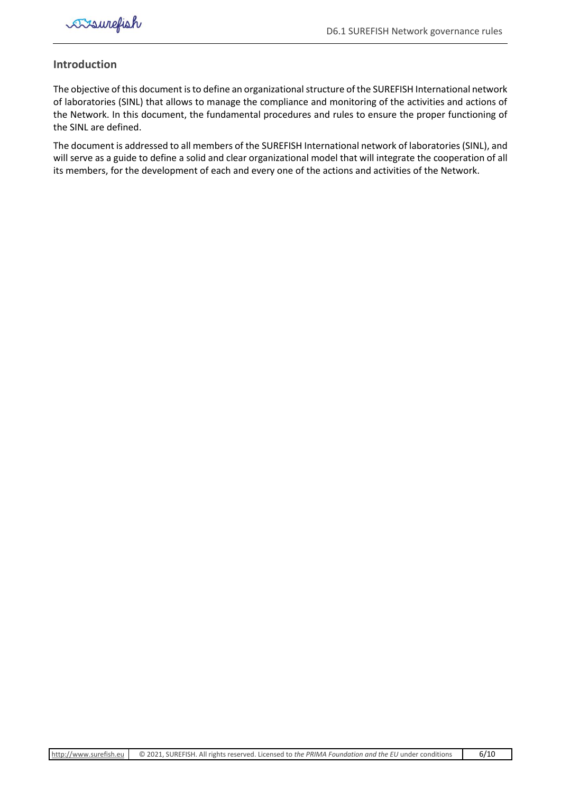

#### <span id="page-6-0"></span>**Introduction**

The objective of this document is to define an organizational structure of the SUREFISH International network of laboratories (SINL) that allows to manage the compliance and monitoring of the activities and actions of the Network. In this document, the fundamental procedures and rules to ensure the proper functioning of the SINL are defined.

The document is addressed to all members of the SUREFISH International network of laboratories (SINL), and will serve as a guide to define a solid and clear organizational model that will integrate the cooperation of all its members, for the development of each and every one of the actions and activities of the Network.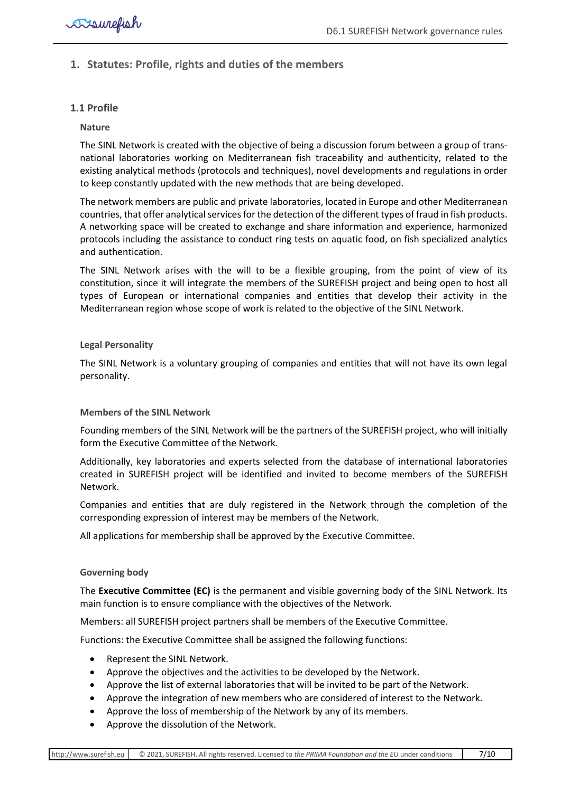# <span id="page-7-0"></span>**1. Statutes: Profile, rights and duties of the members**

#### <span id="page-7-1"></span>**1.1 Profile**

#### **Nature**

The SINL Network is created with the objective of being a discussion forum between a group of transnational laboratories working on Mediterranean fish traceability and authenticity, related to the existing analytical methods (protocols and techniques), novel developments and regulations in order to keep constantly updated with the new methods that are being developed.

The network members are public and private laboratories, located in Europe and other Mediterranean countries, that offer analytical services for the detection of the different types of fraud in fish products. A networking space will be created to exchange and share information and experience, harmonized protocols including the assistance to conduct ring tests on aquatic food, on fish specialized analytics and authentication.

The SINL Network arises with the will to be a flexible grouping, from the point of view of its constitution, since it will integrate the members of the SUREFISH project and being open to host all types of European or international companies and entities that develop their activity in the Mediterranean region whose scope of work is related to the objective of the SINL Network.

#### **Legal Personality**

The SINL Network is a voluntary grouping of companies and entities that will not have its own legal personality.

#### **Members of the SINL Network**

Founding members of the SINL Network will be the partners of the SUREFISH project, who will initially form the Executive Committee of the Network.

Additionally, key laboratories and experts selected from the database of international laboratories created in SUREFISH project will be identified and invited to become members of the SUREFISH Network.

Companies and entities that are duly registered in the Network through the completion of the corresponding expression of interest may be members of the Network.

All applications for membership shall be approved by the Executive Committee.

#### **Governing body**

The **Executive Committee (EC)** is the permanent and visible governing body of the SINL Network. Its main function is to ensure compliance with the objectives of the Network.

Members: all SUREFISH project partners shall be members of the Executive Committee.

Functions: the Executive Committee shall be assigned the following functions:

- Represent the SINL Network.
- Approve the objectives and the activities to be developed by the Network.
- Approve the list of external laboratories that will be invited to be part of the Network.
- Approve the integration of new members who are considered of interest to the Network.
- Approve the loss of membership of the Network by any of its members.
- Approve the dissolution of the Network.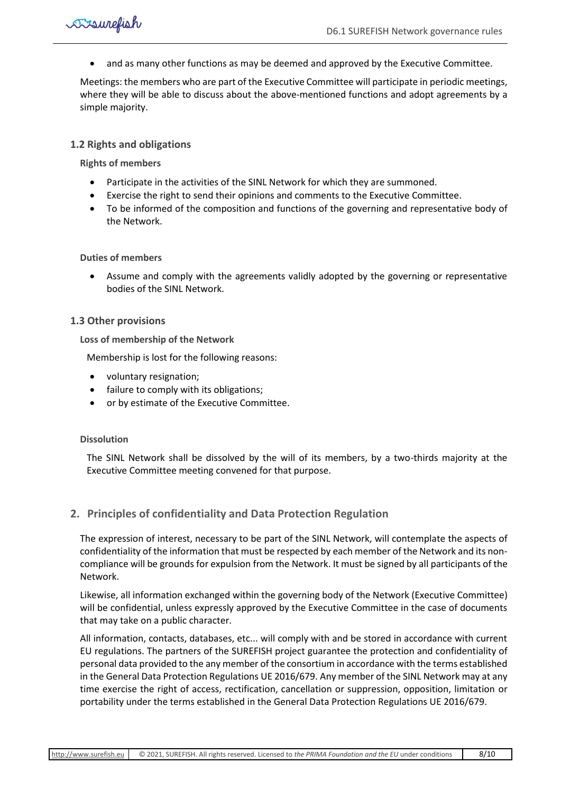• and as many other functions as may be deemed and approved by the Executive Committee.

Meetings: the members who are part of the Executive Committee will participate in periodic meetings, where they will be able to discuss about the above-mentioned functions and adopt agreements by a simple majority.

#### <span id="page-8-0"></span>**1.2 Rights and obligations**

**Rights of members** 

- Participate in the activities of the SINL Network for which they are summoned.
- Exercise the right to send their opinions and comments to the Executive Committee.
- To be informed of the composition and functions of the governing and representative body of the Network.

#### **Duties of members**

• Assume and comply with the agreements validly adopted by the governing or representative bodies of the SINL Network.

#### <span id="page-8-1"></span>**1.3 Other provisions**

**Loss of membership of the Network**

Membership is lost for the following reasons:

- voluntary resignation;
- failure to comply with its obligations;
- or by estimate of the Executive Committee.

#### **Dissolution**

The SINL Network shall be dissolved by the will of its members, by a two-thirds majority at the Executive Committee meeting convened for that purpose.

### <span id="page-8-2"></span>**2. Principles of confidentiality and Data Protection Regulation**

The expression of interest, necessary to be part of the SINL Network, will contemplate the aspects of confidentiality of the information that must be respected by each member of the Network and its noncompliance will be grounds for expulsion from the Network. It must be signed by all participants of the Network.

Likewise, all information exchanged within the governing body of the Network (Executive Committee) will be confidential, unless expressly approved by the Executive Committee in the case of documents that may take on a public character.

All information, contacts, databases, etc... will comply with and be stored in accordance with current EU regulations. The partners of the SUREFISH project guarantee the protection and confidentiality of personal data provided to the any member of the consortium in accordance with the terms established in the General Data Protection Regulations UE 2016/679. Any member of the SINL Network may at any time exercise the right of access, rectification, cancellation or suppression, opposition, limitation or portability under the terms established in the General Data Protection Regulations UE 2016/679.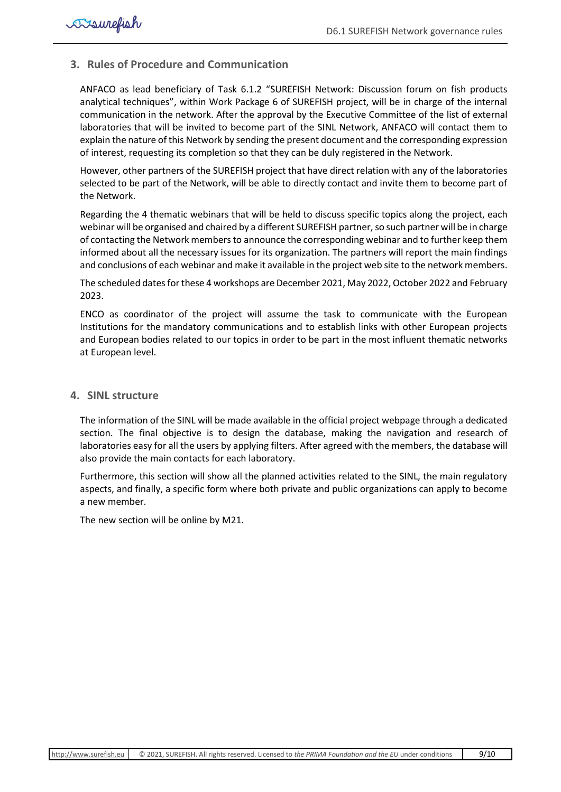#### <span id="page-9-0"></span>**3. Rules of Procedure and Communication**

ANFACO as lead beneficiary of Task 6.1.2 "SUREFISH Network: Discussion forum on fish products analytical techniques", within Work Package 6 of SUREFISH project, will be in charge of the internal communication in the network. After the approval by the Executive Committee of the list of external laboratories that will be invited to become part of the SINL Network, ANFACO will contact them to explain the nature of this Network by sending the present document and the corresponding expression of interest, requesting its completion so that they can be duly registered in the Network.

However, other partners of the SUREFISH project that have direct relation with any of the laboratories selected to be part of the Network, will be able to directly contact and invite them to become part of the Network.

Regarding the 4 thematic webinars that will be held to discuss specific topics along the project, each webinar will be organised and chaired by a different SUREFISH partner, so such partner will be in charge of contacting the Network members to announce the corresponding webinar and to further keep them informed about all the necessary issues for its organization. The partners will report the main findings and conclusions of each webinar and make it available in the project web site to the network members.

The scheduled dates for these 4 workshops are December 2021, May 2022, October 2022 and February 2023.

ENCO as coordinator of the project will assume the task to communicate with the European Institutions for the mandatory communications and to establish links with other European projects and European bodies related to our topics in order to be part in the most influent thematic networks at European level.

#### <span id="page-9-1"></span>**4. SINL structure**

The information of the SINL will be made available in the official project webpage through a dedicated section. The final objective is to design the database, making the navigation and research of laboratories easy for all the users by applying filters. After agreed with the members, the database will also provide the main contacts for each laboratory.

Furthermore, this section will show all the planned activities related to the SINL, the main regulatory aspects, and finally, a specific form where both private and public organizations can apply to become a new member.

The new section will be online by M21.